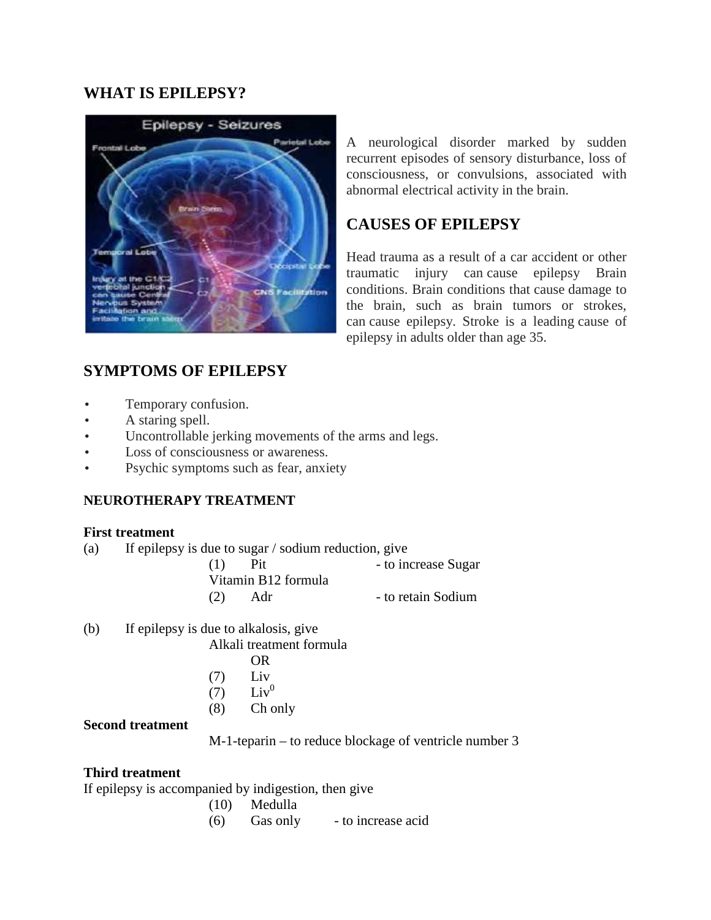## **WHAT IS EPILEPSY?**



A neurological disorder marked by sudden recurrent episodes of sensory disturbance, loss of consciousness, or convulsions, associated with abnormal electrical activity in the brain.

## **CAUSES OF EPILEPSY**

Head trauma as a result of a car accident or other traumatic injury can cause epilepsy Brain conditions. Brain conditions that cause damage to the brain, such as brain tumors or strokes, can cause epilepsy. Stroke is a leading cause of epilepsy in adults older than age 35.

# **SYMPTOMS OF EPILEPSY**

- Temporary confusion.
- A staring spell.
- Uncontrollable jerking movements of the arms and legs.
- Loss of consciousness or awareness.
- Psychic symptoms such as fear, anxiety

#### **NEUROTHERAPY TREATMENT**

#### **First treatment**

(a) If epilepsy is due to sugar / sodium reduction, give

| (1) | <b>Pit</b>          | - to increase Sugar |
|-----|---------------------|---------------------|
|     | Vitamin B12 formula |                     |
| (2) | Adr                 | - to retain Sodium  |

(b) If epilepsy is due to alkalosis, give

Alkali treatment formula

- OR
- (7) Liv
- $(7)$  Liv<sup>0</sup>
- (8) Ch only

### **Second treatment**

M-1-teparin – to reduce blockage of ventricle number 3

#### **Third treatment**

If epilepsy is accompanied by indigestion, then give

- (10) Medulla
- (6) Gas only to increase acid